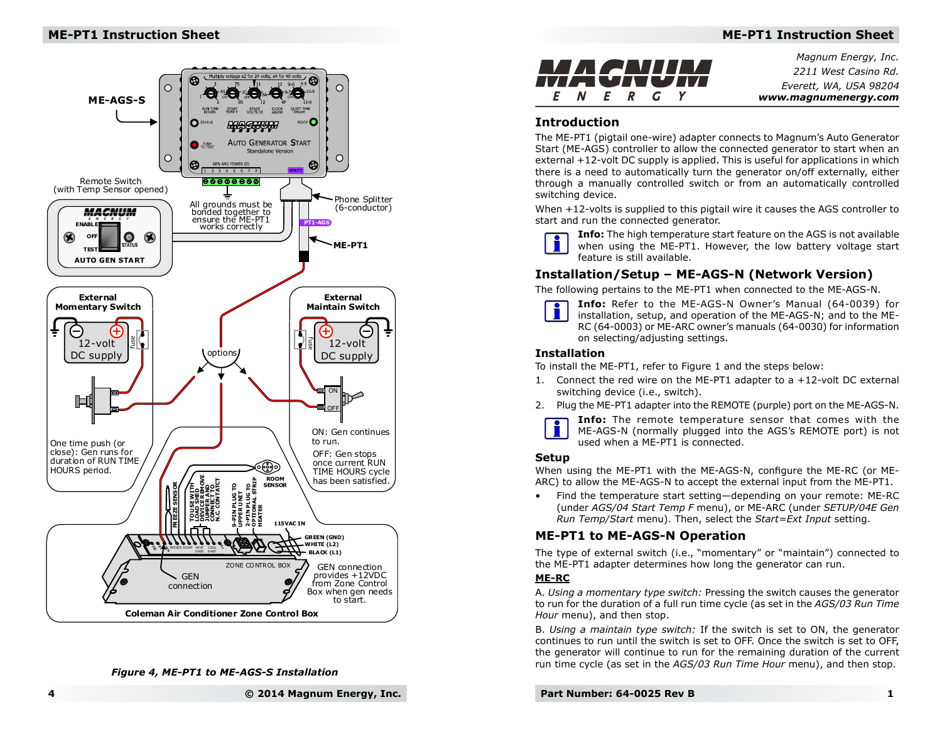## **ME-PT1 Instruction Sheet**



#### *Figure 4, ME-PT1 to ME-AGS-S Installation*



*Magnum Energy, Inc.2211 West Casino Rd.Everett, WA, USA 98204www.magnumenergy.com*

## **Introduction**

 The ME-PT1 (pigtail one-wire) adapter connects to Magnum's Auto Generator Start (ME-AGS) controller to allow the connected generator to start when an external +12-volt DC supply is applied. This is useful for applications in which there is a need to automatically turn the generator on/off externally, either through a manually controlled switch or from an automatically controlled switching device.

When +12-volts is supplied to this pigtail wire it causes the AGS controller to start and run the connected generator.



**Info:** The high temperature start feature on the AGS is not available when using the ME-PT1. However, the low battery voltage start feature is still available.

## **Installation/Setup – ME-AGS-N (Network Version)**

The following pertains to the ME-PT1 when connected to the ME-AGS-N.



**Info:** Refer to the ME-AGS-N Owner's Manual (64-0039) for installation, setup, and operation of the ME-AGS-N; and to the ME-RC (64-0003) or ME-ARC owner's manuals (64-0030) for information on selecting/adjusting settings.

### **Installation**

To install the ME-PT1, refer to Figure 1 and the steps below:

- 1. Connect the red wire on the ME-PT1 adapter to a +12-volt DC external switching device (i.e., switch).
- 2. Plug the ME-PT1 adapter into the REMOTE (purple) port on the ME-AGS-N.



**Info:** The remote temperature sensor that comes with the ME-AGS-N (normally plugged into the AGS's REMOTE port) is not used when a ME-PT1 is connected.

### **Setup**

When using the ME-PT1 with the ME-AGS-N, configure the ME-RC (or ME-ARC) to allow the ME-AGS-N to accept the external input from the ME-PT1.

• Find the temperature start setting—depending on your remote: ME-RC (under *AGS/04 Start Temp F* menu), or ME-ARC (under *SETUP/04E Gen Run Temp/Start* menu). Then, select the *Start=Ext Input* setting.

# **ME-PT1 to ME-AGS-N Operation**

 The type of external switch (i.e., "momentary" or "maintain") connected to the ME-PT1 adapter determines how long the generator can run.

#### **ME-RC**

 A. *Using a momentary type switch:* Pressing the switch causes the generator to run for the duration of a full run time cycle (as set in the *AGS/03 Run Time Hour* menu), and then stop.

B. *Using a maintain type switch:* If the switch is set to ON, the generator continues to run until the switch is set to OFF. Once the switch is set to OFF, the generator will continue to run for the remaining duration of the current run time cycle (as set in the *AGS/03 Run Time Hour* menu), and then stop.